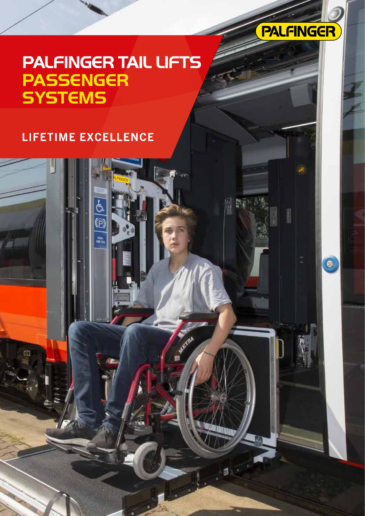

 $\bullet$ 

## **PALFINGER TAIL LIFTS PASSENGER SYSTEMS**

## LIFETIME EXCELLENCE

 $\frac{1}{\sqrt{2}}$ 

**Angyline**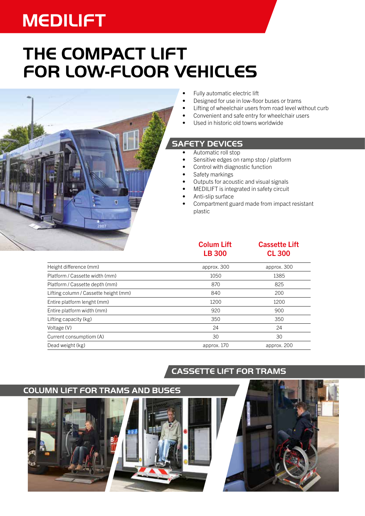# **MEDILIFT**

## **THE COMPACT LIFT FOR LOW-FLOOR VEHICLES**



- Fully automatic electric lift
- Designed for use in low-floor buses or trams
- Lifting of wheelchair users from road level without curb
- Convenient and safe entry for wheelchair users
- Used in historic old towns worldwide

#### **SAFETY DEVICES**

- Automatic roll stop
- Sensitive edges on ramp stop / platform
- Control with diagnostic function
- Safety markings
- Outputs for acoustic and visual signals
- MEDILIFT is integrated in safety circuit
- Anti-slip surface
- Compartment guard made from impact resistant plastic

#### Colum Lift LB 300

#### Cassette Lift CL 300

| Height difference (mm)                | approx. 300 | approx. 300 |
|---------------------------------------|-------------|-------------|
| Platform / Cassette width (mm)        | 1050        | 1385        |
| Platform / Cassette depth (mm)        | 870         | 825         |
| Lifting column / Cassette height (mm) | 840         | 200         |
| Entire platform lenght (mm)           | 1200        | 1200        |
| Entire platform width (mm)            | 920         | 900         |
| Lifting capacity (kg)                 | 350         | 350         |
| Voltage (V)                           | 24          | 24          |
| Current consumptiom (A)               | 30          | 30          |
| Dead weight (kg)                      | approx. 170 | approx. 200 |

### **CASSETTE LIFT FOR TRAMS**